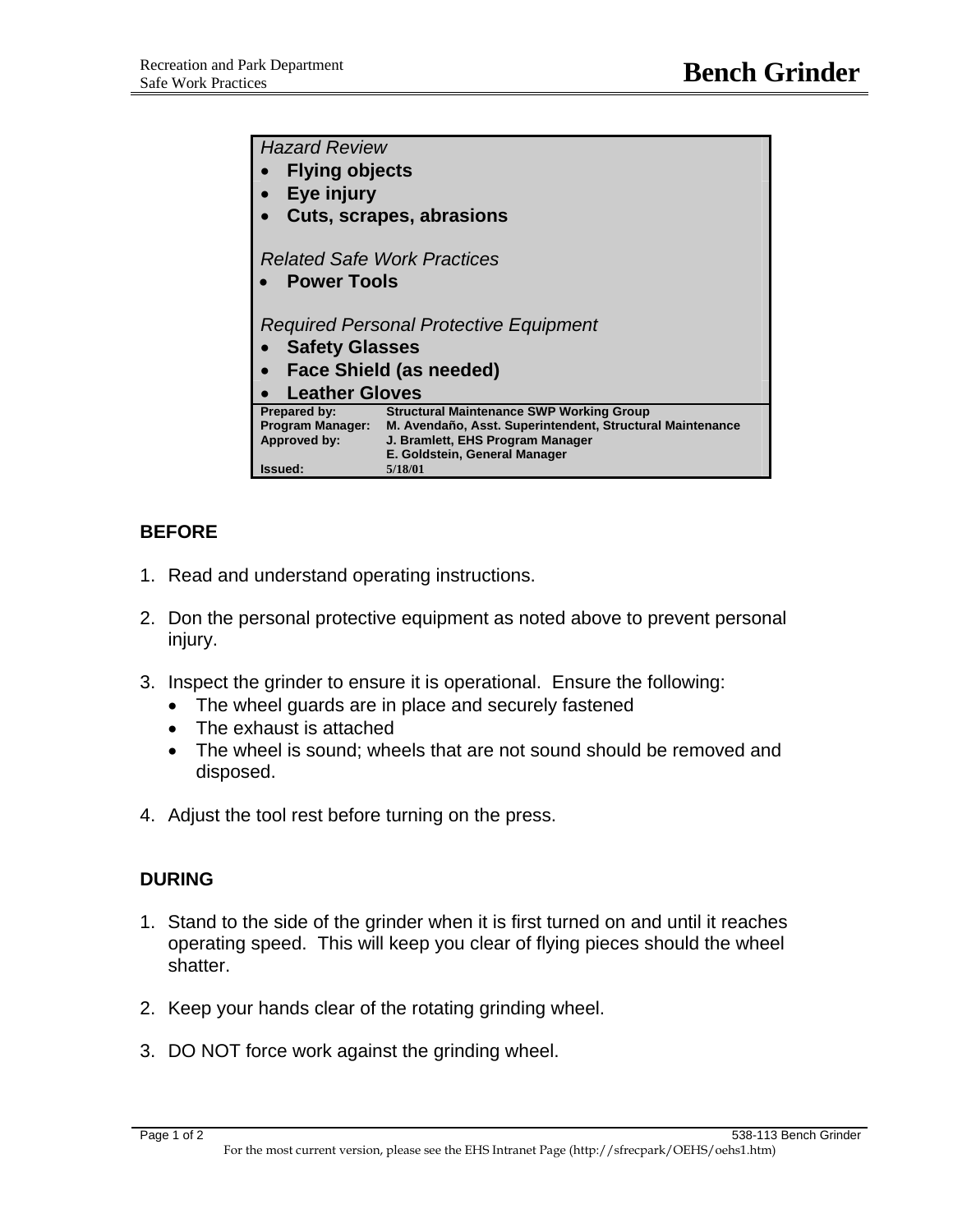| <b>Hazard Review</b>                   |                                                           |
|----------------------------------------|-----------------------------------------------------------|
| <b>Flying objects</b>                  |                                                           |
| Eye injury                             |                                                           |
| <b>Cuts, scrapes, abrasions</b>        |                                                           |
|                                        |                                                           |
| <b>Related Safe Work Practices</b>     |                                                           |
| <b>Power Tools</b>                     |                                                           |
|                                        |                                                           |
| Required Personal Protective Equipment |                                                           |
| <b>Safety Glasses</b>                  |                                                           |
| <b>Face Shield (as needed)</b>         |                                                           |
| <b>Leather Gloves</b>                  |                                                           |
| Prepared by:                           | <b>Structural Maintenance SWP Working Group</b>           |
| Program Manager:                       | M. Avendaño, Asst. Superintendent, Structural Maintenance |
| <b>Approved by:</b>                    | J. Bramlett, EHS Program Manager                          |
|                                        | E. Goldstein, General Manager                             |
| Issued:                                | 5/18/01                                                   |

## **BEFORE**

- 1. Read and understand operating instructions.
- 2. Don the personal protective equipment as noted above to prevent personal injury.
- 3. Inspect the grinder to ensure it is operational. Ensure the following:
	- The wheel guards are in place and securely fastened
	- The exhaust is attached
	- The wheel is sound; wheels that are not sound should be removed and disposed.
- 4. Adjust the tool rest before turning on the press.

## **DURING**

- 1. Stand to the side of the grinder when it is first turned on and until it reaches operating speed. This will keep you clear of flying pieces should the wheel shatter.
- 2. Keep your hands clear of the rotating grinding wheel.
- 3. DO NOT force work against the grinding wheel.